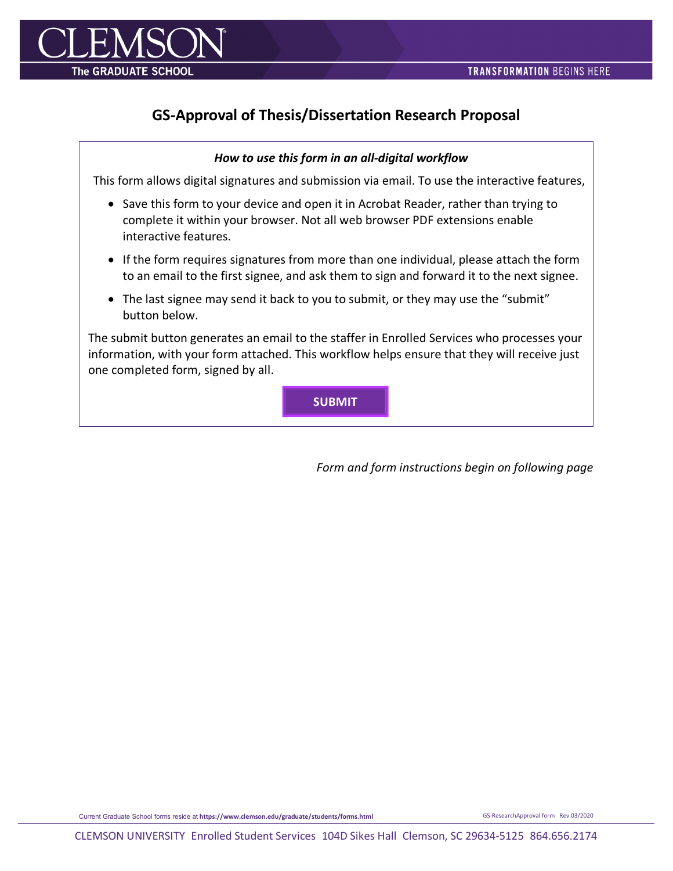

## **GS-Approval of Thesis/Dissertation Research Proposal**

## *How to use this form in an all-digital workflow*

This form allows digital signatures and submission via email. To use the interactive features,

- Save this form to your device and open it in Acrobat Reader, rather than trying to complete it within your browser. Not all web browser PDF extensions enable interactive features.
- If the form requires signatures from more than one individual, please attach the form to an email to the first signee, and ask them to sign and forward it to the next signee.
- The last signee may send it back to you to submit, or they may use the "submit" button below.

The submit button generates an email to the staffer in Enrolled Services who processes your information, with your form attached. This workflow helps ensure that they will receive just one completed form, signed by all.

**SUBMIT**

*Form and form instructions begin on following page*

Current Graduate School forms reside at **https://www.clemson.edu/graduate/students/forms.html** GS-ResearchApproval form Rev.03/2020